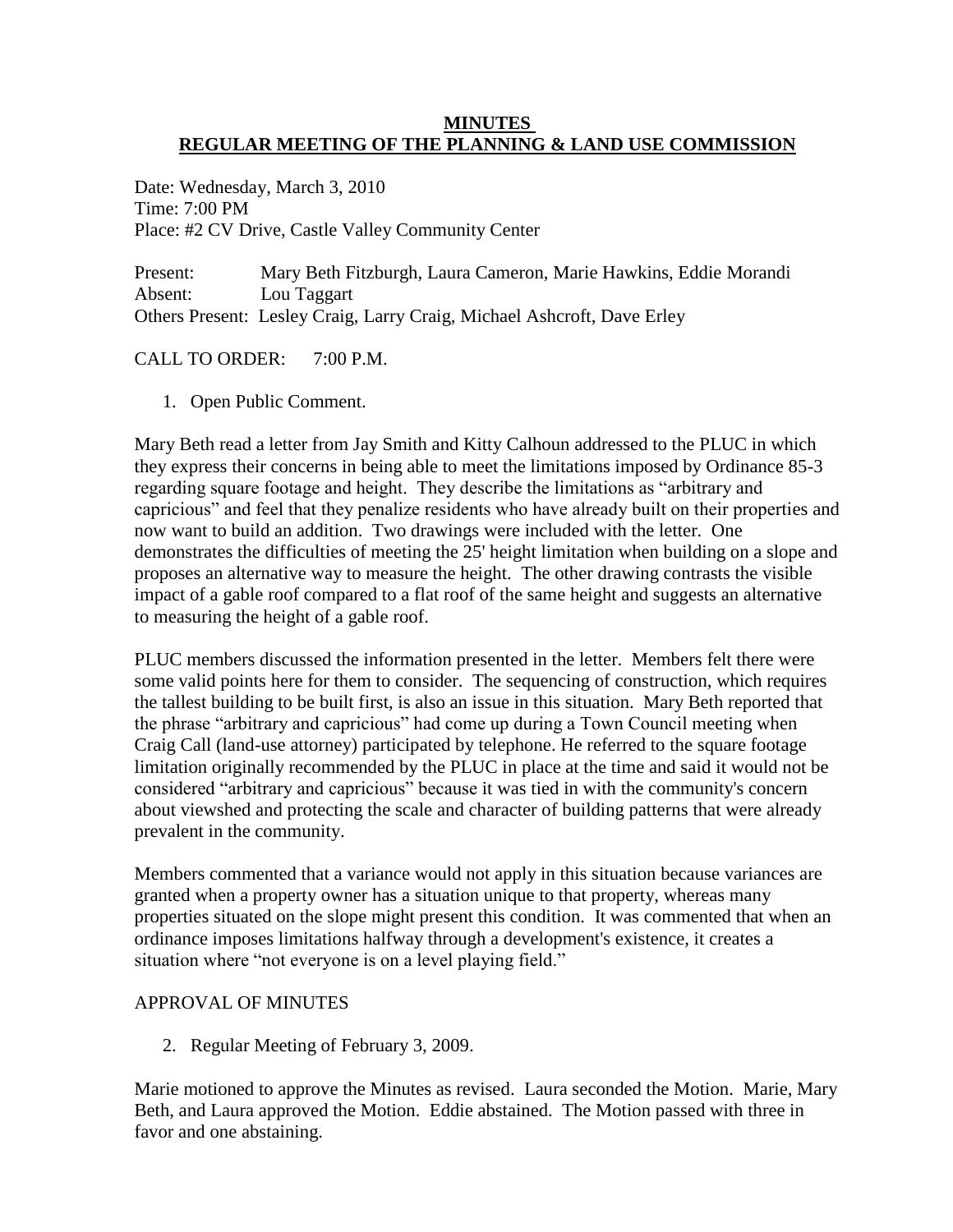## **MINUTES REGULAR MEETING OF THE PLANNING & LAND USE COMMISSION**

Date: Wednesday, March 3, 2010 Time: 7:00 PM Place: #2 CV Drive, Castle Valley Community Center

Present: Mary Beth Fitzburgh, Laura Cameron, Marie Hawkins, Eddie Morandi Absent: Lou Taggart Others Present: Lesley Craig, Larry Craig, Michael Ashcroft, Dave Erley

# CALL TO ORDER: 7:00 P.M.

1. Open Public Comment.

Mary Beth read a letter from Jay Smith and Kitty Calhoun addressed to the PLUC in which they express their concerns in being able to meet the limitations imposed by Ordinance 85-3 regarding square footage and height. They describe the limitations as "arbitrary and capricious" and feel that they penalize residents who have already built on their properties and now want to build an addition. Two drawings were included with the letter. One demonstrates the difficulties of meeting the 25' height limitation when building on a slope and proposes an alternative way to measure the height. The other drawing contrasts the visible impact of a gable roof compared to a flat roof of the same height and suggests an alternative to measuring the height of a gable roof.

PLUC members discussed the information presented in the letter. Members felt there were some valid points here for them to consider. The sequencing of construction, which requires the tallest building to be built first, is also an issue in this situation. Mary Beth reported that the phrase "arbitrary and capricious" had come up during a Town Council meeting when Craig Call (land-use attorney) participated by telephone. He referred to the square footage limitation originally recommended by the PLUC in place at the time and said it would not be considered "arbitrary and capricious" because it was tied in with the community's concern about viewshed and protecting the scale and character of building patterns that were already prevalent in the community.

Members commented that a variance would not apply in this situation because variances are granted when a property owner has a situation unique to that property, whereas many properties situated on the slope might present this condition. It was commented that when an ordinance imposes limitations halfway through a development's existence, it creates a situation where "not everyone is on a level playing field."

## APPROVAL OF MINUTES

2. Regular Meeting of February 3, 2009.

Marie motioned to approve the Minutes as revised. Laura seconded the Motion. Marie, Mary Beth, and Laura approved the Motion. Eddie abstained. The Motion passed with three in favor and one abstaining.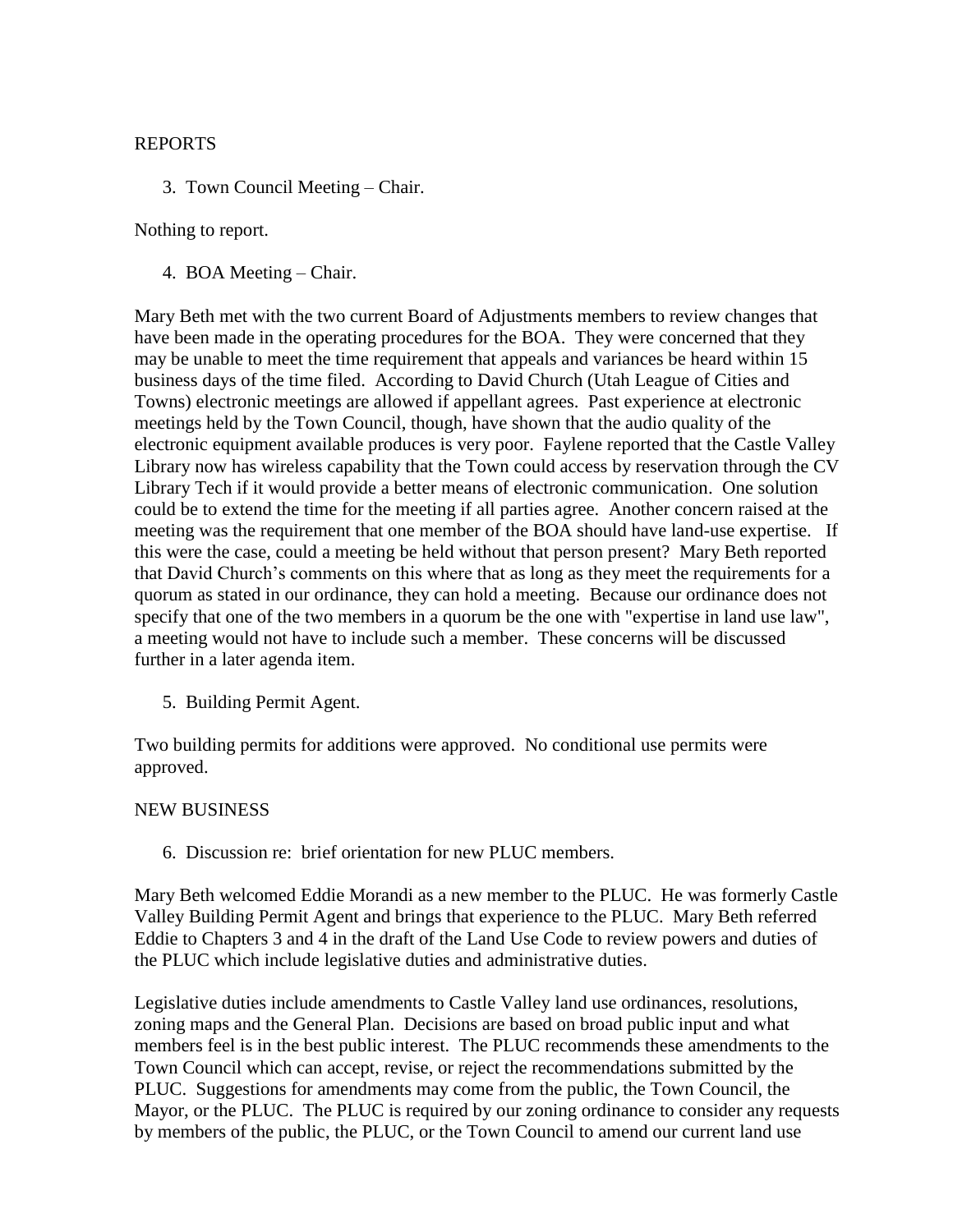## REPORTS

3. Town Council Meeting – Chair.

## Nothing to report.

4. BOA Meeting – Chair.

Mary Beth met with the two current Board of Adjustments members to review changes that have been made in the operating procedures for the BOA. They were concerned that they may be unable to meet the time requirement that appeals and variances be heard within 15 business days of the time filed. According to David Church (Utah League of Cities and Towns) electronic meetings are allowed if appellant agrees. Past experience at electronic meetings held by the Town Council, though, have shown that the audio quality of the electronic equipment available produces is very poor. Faylene reported that the Castle Valley Library now has wireless capability that the Town could access by reservation through the CV Library Tech if it would provide a better means of electronic communication. One solution could be to extend the time for the meeting if all parties agree. Another concern raised at the meeting was the requirement that one member of the BOA should have land-use expertise. If this were the case, could a meeting be held without that person present? Mary Beth reported that David Church's comments on this where that as long as they meet the requirements for a quorum as stated in our ordinance, they can hold a meeting. Because our ordinance does not specify that one of the two members in a quorum be the one with "expertise in land use law", a meeting would not have to include such a member. These concerns will be discussed further in a later agenda item.

5. Building Permit Agent.

Two building permits for additions were approved. No conditional use permits were approved.

## NEW BUSINESS

6. Discussion re: brief orientation for new PLUC members.

Mary Beth welcomed Eddie Morandi as a new member to the PLUC. He was formerly Castle Valley Building Permit Agent and brings that experience to the PLUC. Mary Beth referred Eddie to Chapters 3 and 4 in the draft of the Land Use Code to review powers and duties of the PLUC which include legislative duties and administrative duties.

Legislative duties include amendments to Castle Valley land use ordinances, resolutions, zoning maps and the General Plan. Decisions are based on broad public input and what members feel is in the best public interest. The PLUC recommends these amendments to the Town Council which can accept, revise, or reject the recommendations submitted by the PLUC. Suggestions for amendments may come from the public, the Town Council, the Mayor, or the PLUC. The PLUC is required by our zoning ordinance to consider any requests by members of the public, the PLUC, or the Town Council to amend our current land use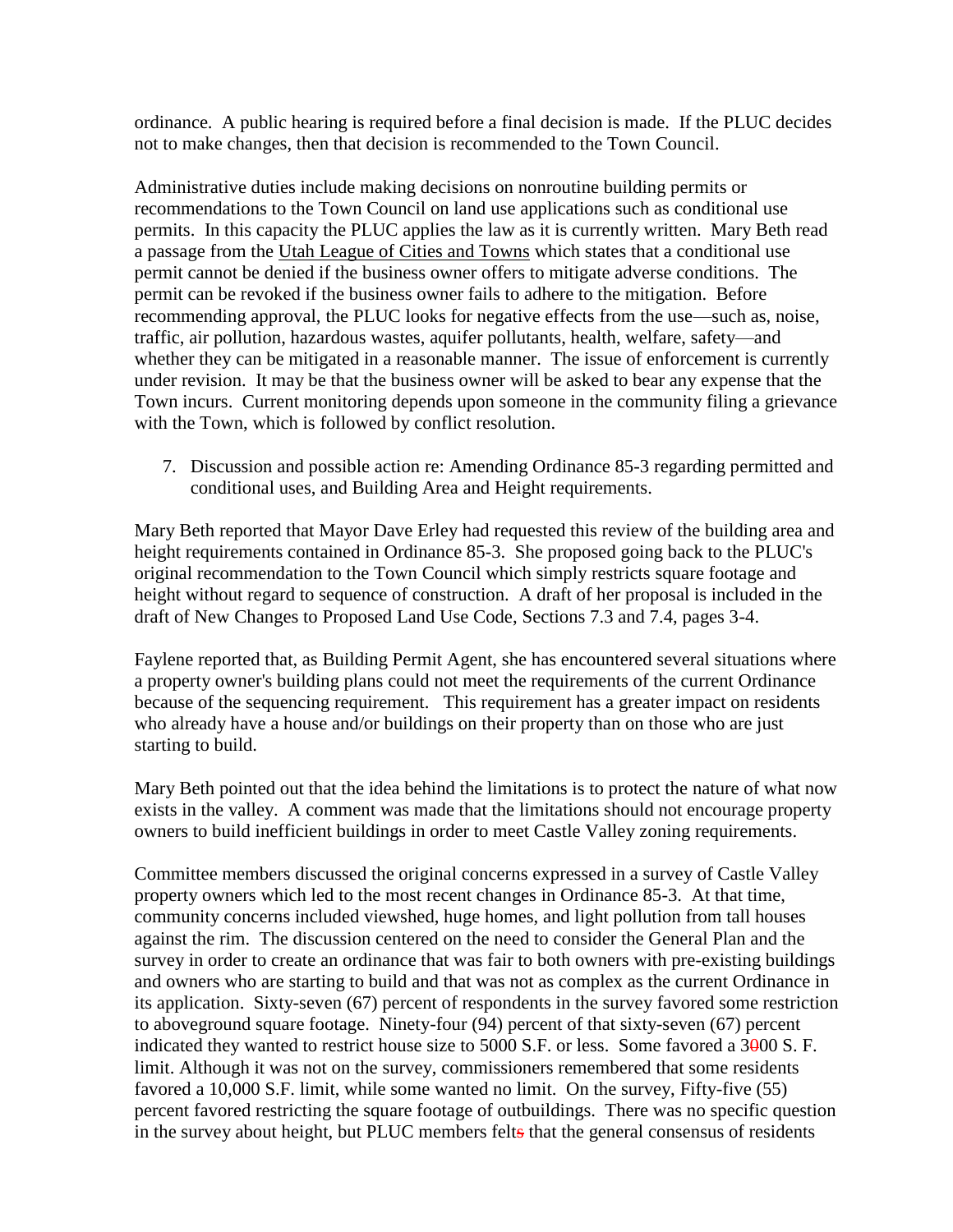ordinance. A public hearing is required before a final decision is made. If the PLUC decides not to make changes, then that decision is recommended to the Town Council.

Administrative duties include making decisions on nonroutine building permits or recommendations to the Town Council on land use applications such as conditional use permits. In this capacity the PLUC applies the law as it is currently written. Mary Beth read a passage from the Utah League of Cities and Towns which states that a conditional use permit cannot be denied if the business owner offers to mitigate adverse conditions. The permit can be revoked if the business owner fails to adhere to the mitigation. Before recommending approval, the PLUC looks for negative effects from the use—such as, noise, traffic, air pollution, hazardous wastes, aquifer pollutants, health, welfare, safety—and whether they can be mitigated in a reasonable manner. The issue of enforcement is currently under revision. It may be that the business owner will be asked to bear any expense that the Town incurs. Current monitoring depends upon someone in the community filing a grievance with the Town, which is followed by conflict resolution.

7. Discussion and possible action re: Amending Ordinance 85-3 regarding permitted and conditional uses, and Building Area and Height requirements.

Mary Beth reported that Mayor Dave Erley had requested this review of the building area and height requirements contained in Ordinance 85-3. She proposed going back to the PLUC's original recommendation to the Town Council which simply restricts square footage and height without regard to sequence of construction. A draft of her proposal is included in the draft of New Changes to Proposed Land Use Code, Sections 7.3 and 7.4, pages 3-4.

Faylene reported that, as Building Permit Agent, she has encountered several situations where a property owner's building plans could not meet the requirements of the current Ordinance because of the sequencing requirement. This requirement has a greater impact on residents who already have a house and/or buildings on their property than on those who are just starting to build.

Mary Beth pointed out that the idea behind the limitations is to protect the nature of what now exists in the valley. A comment was made that the limitations should not encourage property owners to build inefficient buildings in order to meet Castle Valley zoning requirements.

Committee members discussed the original concerns expressed in a survey of Castle Valley property owners which led to the most recent changes in Ordinance 85-3. At that time, community concerns included viewshed, huge homes, and light pollution from tall houses against the rim. The discussion centered on the need to consider the General Plan and the survey in order to create an ordinance that was fair to both owners with pre-existing buildings and owners who are starting to build and that was not as complex as the current Ordinance in its application. Sixty-seven (67) percent of respondents in the survey favored some restriction to aboveground square footage. Ninety-four (94) percent of that sixty-seven (67) percent indicated they wanted to restrict house size to  $5000$  S.F. or less. Some favored a  $3000$  S.F. limit. Although it was not on the survey, commissioners remembered that some residents favored a 10,000 S.F. limit, while some wanted no limit. On the survey, Fifty-five (55) percent favored restricting the square footage of outbuildings. There was no specific question in the survey about height, but PLUC members felts that the general consensus of residents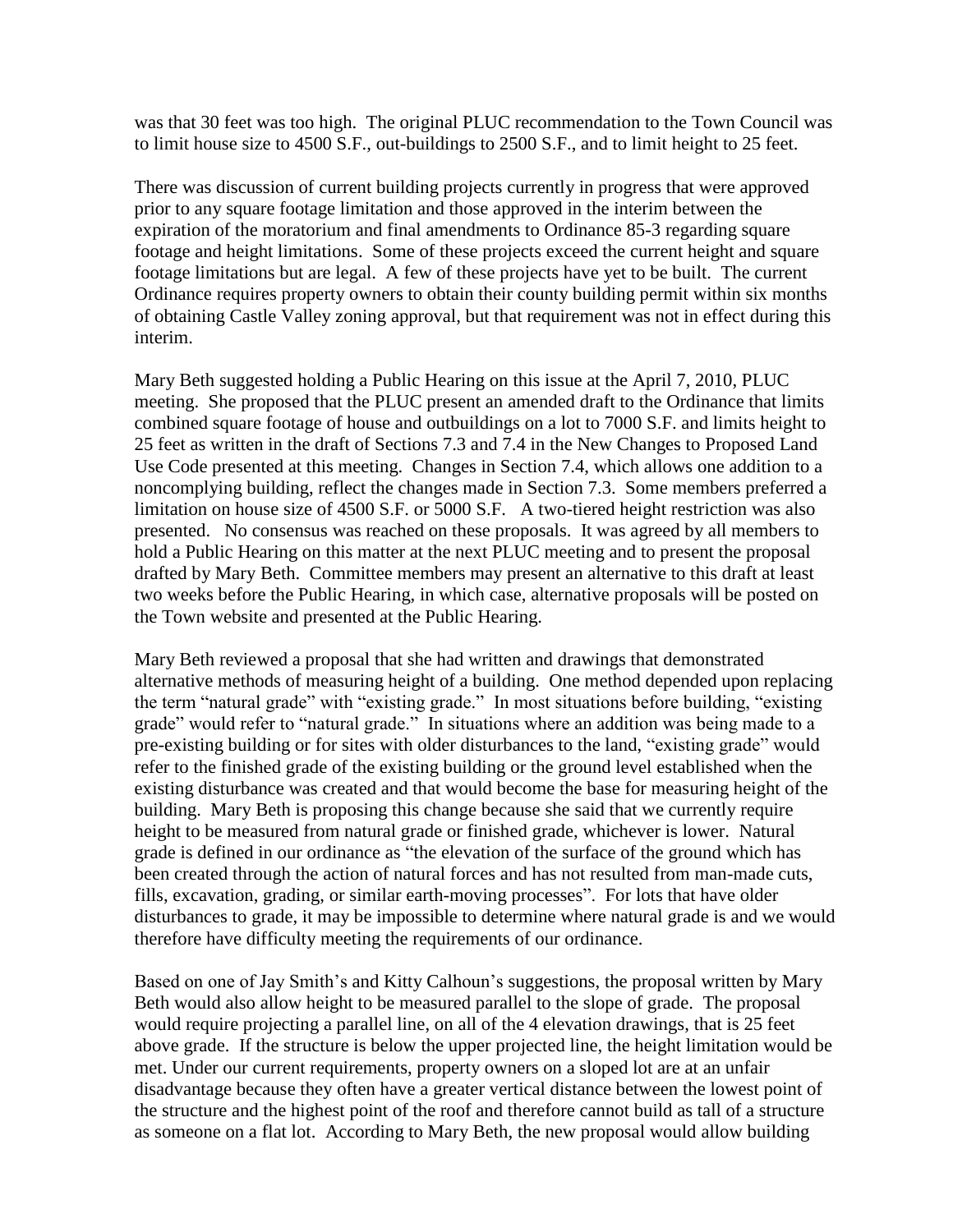was that 30 feet was too high. The original PLUC recommendation to the Town Council was to limit house size to 4500 S.F., out-buildings to 2500 S.F., and to limit height to 25 feet.

There was discussion of current building projects currently in progress that were approved prior to any square footage limitation and those approved in the interim between the expiration of the moratorium and final amendments to Ordinance 85-3 regarding square footage and height limitations. Some of these projects exceed the current height and square footage limitations but are legal. A few of these projects have yet to be built. The current Ordinance requires property owners to obtain their county building permit within six months of obtaining Castle Valley zoning approval, but that requirement was not in effect during this interim.

Mary Beth suggested holding a Public Hearing on this issue at the April 7, 2010, PLUC meeting. She proposed that the PLUC present an amended draft to the Ordinance that limits combined square footage of house and outbuildings on a lot to 7000 S.F. and limits height to 25 feet as written in the draft of Sections 7.3 and 7.4 in the New Changes to Proposed Land Use Code presented at this meeting. Changes in Section 7.4, which allows one addition to a noncomplying building, reflect the changes made in Section 7.3. Some members preferred a limitation on house size of 4500 S.F. or 5000 S.F. A two-tiered height restriction was also presented. No consensus was reached on these proposals. It was agreed by all members to hold a Public Hearing on this matter at the next PLUC meeting and to present the proposal drafted by Mary Beth. Committee members may present an alternative to this draft at least two weeks before the Public Hearing, in which case, alternative proposals will be posted on the Town website and presented at the Public Hearing.

Mary Beth reviewed a proposal that she had written and drawings that demonstrated alternative methods of measuring height of a building. One method depended upon replacing the term "natural grade" with "existing grade." In most situations before building, "existing grade" would refer to "natural grade." In situations where an addition was being made to a pre-existing building or for sites with older disturbances to the land, "existing grade" would refer to the finished grade of the existing building or the ground level established when the existing disturbance was created and that would become the base for measuring height of the building. Mary Beth is proposing this change because she said that we currently require height to be measured from natural grade or finished grade, whichever is lower. Natural grade is defined in our ordinance as "the elevation of the surface of the ground which has been created through the action of natural forces and has not resulted from man-made cuts, fills, excavation, grading, or similar earth-moving processes". For lots that have older disturbances to grade, it may be impossible to determine where natural grade is and we would therefore have difficulty meeting the requirements of our ordinance.

Based on one of Jay Smith's and Kitty Calhoun's suggestions, the proposal written by Mary Beth would also allow height to be measured parallel to the slope of grade. The proposal would require projecting a parallel line, on all of the 4 elevation drawings, that is 25 feet above grade. If the structure is below the upper projected line, the height limitation would be met. Under our current requirements, property owners on a sloped lot are at an unfair disadvantage because they often have a greater vertical distance between the lowest point of the structure and the highest point of the roof and therefore cannot build as tall of a structure as someone on a flat lot. According to Mary Beth, the new proposal would allow building